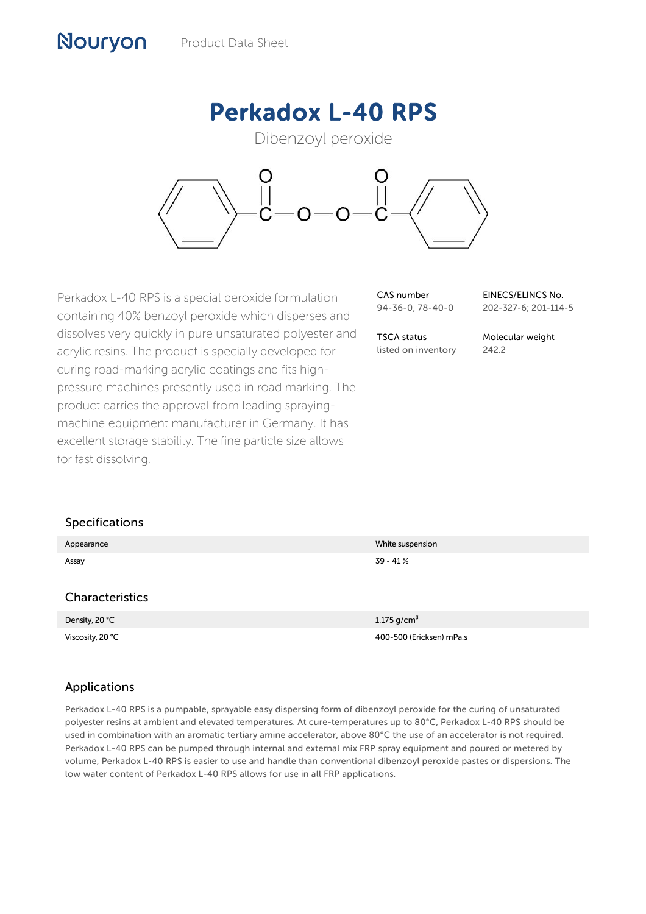# Perkadox L-40 RPS

Dibenzoyl peroxide



Perkadox L-40 RPS is a special peroxide formulation containing 40% benzoyl peroxide which disperses and dissolves very quickly in pure unsaturated polyester and acrylic resins. The product is specially developed for curing road-marking acrylic coatings and fits highpressure machines presently used in road marking. The product carries the approval from leading sprayingmachine equipment manufacturer in Germany. It has excellent storage stability. The fine particle size allows for fast dissolving.

| CAS number       |  |
|------------------|--|
| 94-36-0, 78-40-0 |  |

EINECS/ELINCS No. 202-327-6; 201-114-5

TSCA status listed on inventory Molecular weight 242.2

#### Specifications

Nouryon

| Appearance             | White suspension         |
|------------------------|--------------------------|
| Assay                  | $39 - 41%$               |
|                        |                          |
| <b>Characteristics</b> |                          |
| Density, 20 °C         | 1.175 g/cm <sup>3</sup>  |
| Viscosity, 20 °C       | 400-500 (Ericksen) mPa.s |

#### Applications

Perkadox L-40 RPS is a pumpable, sprayable easy dispersing form of dibenzoyl peroxide for the curing of unsaturated polyester resins at ambient and elevated temperatures. At cure-temperatures up to 80°C, Perkadox L-40 RPS should be used in combination with an aromatic tertiary amine accelerator, above 80°C the use of an accelerator is not required. Perkadox L-40 RPS can be pumped through internal and external mix FRP spray equipment and poured or metered by volume, Perkadox L-40 RPS is easier to use and handle than conventional dibenzoyl peroxide pastes or dispersions. The low water content of Perkadox L-40 RPS allows for use in all FRP applications.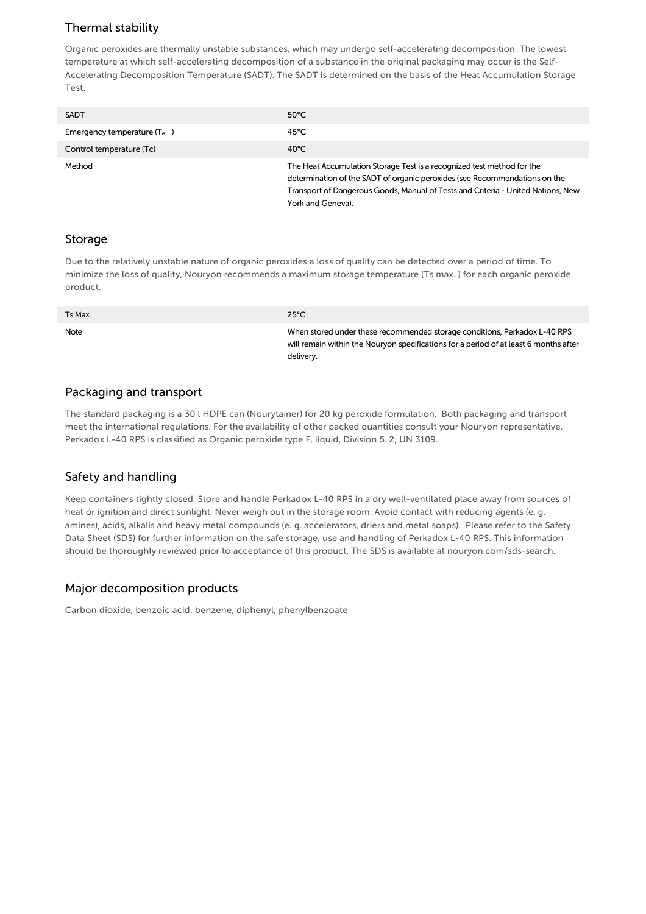## Thermal stability

Organic peroxides are thermally unstable substances, which may undergo self-accelerating decomposition. The lowest temperature at which self-accelerating decomposition of a substance in the original packaging may occur is the Self-Accelerating Decomposition Temperature (SADT). The SADT is determined on the basis of the Heat Accumulation Storage Test.

| <b>SADT</b>                   | $50^{\circ}$ C                                                                                                                                                                                                                                                |
|-------------------------------|---------------------------------------------------------------------------------------------------------------------------------------------------------------------------------------------------------------------------------------------------------------|
| Emergency temperature $(T_e)$ | 45°C                                                                                                                                                                                                                                                          |
| Control temperature (Tc)      | $40^{\circ}$ C                                                                                                                                                                                                                                                |
| Method                        | The Heat Accumulation Storage Test is a recognized test method for the<br>determination of the SADT of organic peroxides (see Recommendations on the<br>Transport of Dangerous Goods, Manual of Tests and Criteria - United Nations, New<br>York and Geneva). |

#### Storage

Due to the relatively unstable nature of organic peroxides a loss of quality can be detected over a period of time. To minimize the loss of quality, Nouryon recommends a maximum storage temperature (Ts max. ) for each organic peroxide product.

| Ts Max. | $25^{\circ}$ C                                                                                                                                                                  |
|---------|---------------------------------------------------------------------------------------------------------------------------------------------------------------------------------|
| Note    | When stored under these recommended storage conditions, Perkadox L-40 RPS<br>will remain within the Nouryon specifications for a period of at least 6 months after<br>delivery. |

#### Packaging and transport

The standard packaging is a 30 l HDPE can (Nourytainer) for 20 kg peroxide formulation. Both packaging and transport meet the international regulations. For the availability of other packed quantities consult your Nouryon representative. Perkadox L-40 RPS is classified as Organic peroxide type F, liquid, Division 5. 2; UN 3109.

## Safety and handling

Keep containers tightly closed. Store and handle Perkadox L-40 RPS in a dry well-ventilated place away from sources of heat or ignition and direct sunlight. Never weigh out in the storage room. Avoid contact with reducing agents (e. g. amines), acids, alkalis and heavy metal compounds (e. g. accelerators, driers and metal soaps). Please refer to the Safety Data Sheet (SDS) for further information on the safe storage, use and handling of Perkadox L-40 RPS. This information should be thoroughly reviewed prior to acceptance of this product. The SDS is available at nouryon.com/sds-search.

## Major decomposition products

Carbon dioxide, benzoic acid, benzene, diphenyl, phenylbenzoate